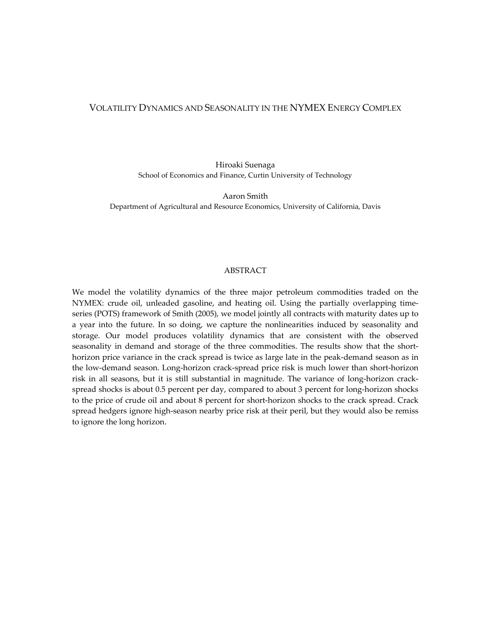### VOLATILITY DYNAMICS AND SEASONALITY IN THE NYMEX ENERGY COMPLEX

Hiroaki Suenaga School of Economics and Finance, Curtin University of Technology

Aaron Smith Department of Agricultural and Resource Economics, University of California, Davis

#### ABSTRACT

We model the volatility dynamics of the three major petroleum commodities traded on the NYMEX: crude oil, unleaded gasoline, and heating oil. Using the partially overlapping time‐ series (POTS) framework of Smith (2005), we model jointly all contracts with maturity dates up to a year into the future. In so doing, we capture the nonlinearities induced by seasonality and storage. Our model produces volatility dynamics that are consistent with the observed seasonality in demand and storage of the three commodities. The results show that the shorthorizon price variance in the crack spread is twice as large late in the peak-demand season as in the low-demand season. Long-horizon crack-spread price risk is much lower than short-horizon risk in all seasons, but it is still substantial in magnitude. The variance of long‐horizon crack‐ spread shocks is about 0.5 percent per day, compared to about 3 percent for long-horizon shocks to the price of crude oil and about 8 percent for short‐horizon shocks to the crack spread. Crack spread hedgers ignore high-season nearby price risk at their peril, but they would also be remiss to ignore the long horizon.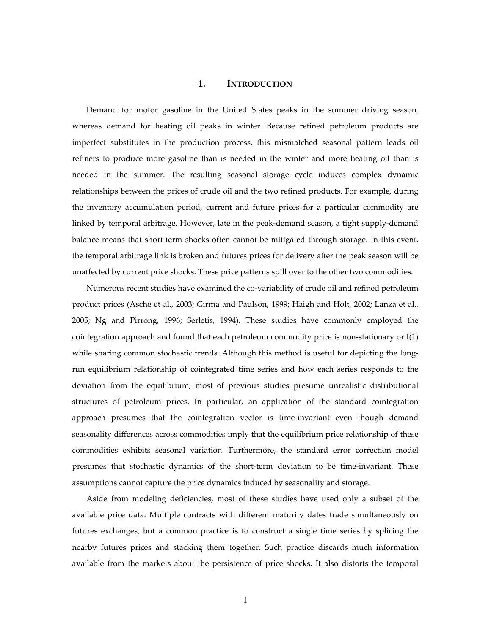### **1. INTRODUCTION**

Demand for motor gasoline in the United States peaks in the summer driving season, whereas demand for heating oil peaks in winter. Because refined petroleum products are imperfect substitutes in the production process, this mismatched seasonal pattern leads oil refiners to produce more gasoline than is needed in the winter and more heating oil than is needed in the summer. The resulting seasonal storage cycle induces complex dynamic relationships between the prices of crude oil and the two refined products. For example, during the inventory accumulation period, current and future prices for a particular commodity are linked by temporal arbitrage. However, late in the peak‐demand season, a tight supply‐demand balance means that short-term shocks often cannot be mitigated through storage. In this event, the temporal arbitrage link is broken and futures prices for delivery after the peak season will be unaffected by current price shocks. These price patterns spill over to the other two commodities.

Numerous recent studies have examined the co-variability of crude oil and refined petroleum product prices (Asche et al., 2003; Girma and Paulson, 1999; Haigh and Holt, 2002; Lanza et al., 2005; Ng and Pirrong, 1996; Serletis, 1994). These studies have commonly employed the cointegration approach and found that each petroleum commodity price is non-stationary or  $I(1)$ while sharing common stochastic trends. Although this method is useful for depicting the longrun equilibrium relationship of cointegrated time series and how each series responds to the deviation from the equilibrium, most of previous studies presume unrealistic distributional structures of petroleum prices. In particular, an application of the standard cointegration approach presumes that the cointegration vector is time‐invariant even though demand seasonality differences across commodities imply that the equilibrium price relationship of these commodities exhibits seasonal variation. Furthermore, the standard error correction model presumes that stochastic dynamics of the short-term deviation to be time-invariant. These assumptions cannot capture the price dynamics induced by seasonality and storage.

Aside from modeling deficiencies, most of these studies have used only a subset of the available price data. Multiple contracts with different maturity dates trade simultaneously on futures exchanges, but a common practice is to construct a single time series by splicing the nearby futures prices and stacking them together. Such practice discards much information available from the markets about the persistence of price shocks. It also distorts the temporal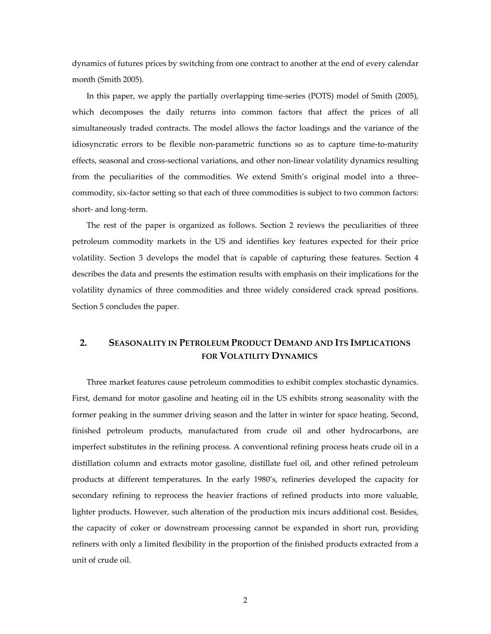dynamics of futures prices by switching from one contract to another at the end of every calendar month (Smith 2005).

In this paper, we apply the partially overlapping time‐series (POTS) model of Smith (2005), which decomposes the daily returns into common factors that affect the prices of all simultaneously traded contracts. The model allows the factor loadings and the variance of the idiosyncratic errors to be flexible non-parametric functions so as to capture time-to-maturity effects, seasonal and cross‐sectional variations, and other non‐linear volatility dynamics resulting from the peculiarities of the commodities. We extend Smith's original model into a threecommodity, six‐factor setting so that each of three commodities is subject to two common factors: short‐ and long‐term.

The rest of the paper is organized as follows. Section 2 reviews the peculiarities of three petroleum commodity markets in the US and identifies key features expected for their price volatility. Section 3 develops the model that is capable of capturing these features. Section 4 describes the data and presents the estimation results with emphasis on their implications for the volatility dynamics of three commodities and three widely considered crack spread positions. Section 5 concludes the paper.

# **2. SEASONALITY IN PETROLEUM PRODUCT DEMAND AND ITS IMPLICATIONS FOR VOLATILITY DYNAMICS**

Three market features cause petroleum commodities to exhibit complex stochastic dynamics. First, demand for motor gasoline and heating oil in the US exhibits strong seasonality with the former peaking in the summer driving season and the latter in winter for space heating. Second, finished petroleum products, manufactured from crude oil and other hydrocarbons, are imperfect substitutes in the refining process. A conventional refining process heats crude oil in a distillation column and extracts motor gasoline, distillate fuel oil, and other refined petroleum products at different temperatures. In the early 1980's, refineries developed the capacity for secondary refining to reprocess the heavier fractions of refined products into more valuable, lighter products. However, such alteration of the production mix incurs additional cost. Besides, the capacity of coker or downstream processing cannot be expanded in short run, providing refiners with only a limited flexibility in the proportion of the finished products extracted from a unit of crude oil.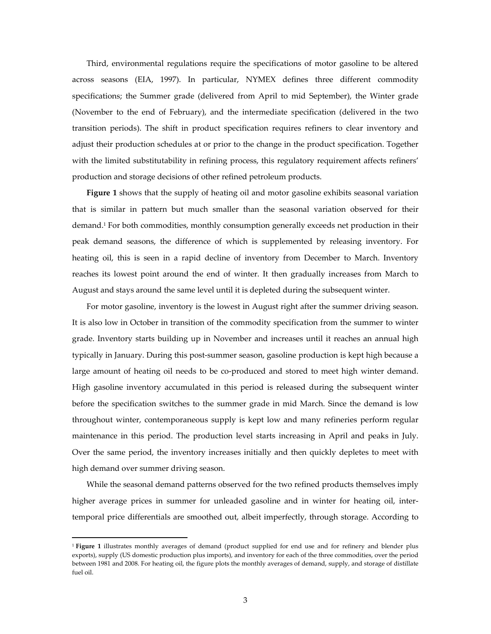Third, environmental regulations require the specifications of motor gasoline to be altered across seasons (EIA, 1997). In particular, NYMEX defines three different commodity specifications; the Summer grade (delivered from April to mid September), the Winter grade (November to the end of February), and the intermediate specification (delivered in the two transition periods). The shift in product specification requires refiners to clear inventory and adjust their production schedules at or prior to the change in the product specification. Together with the limited substitutability in refining process, this regulatory requirement affects refiners' production and storage decisions of other refined petroleum products.

**Figure 1** shows that the supply of heating oil and motor gasoline exhibits seasonal variation that is similar in pattern but much smaller than the seasonal variation observed for their demand.1 For both commodities, monthly consumption generally exceeds net production in their peak demand seasons, the difference of which is supplemented by releasing inventory. For heating oil, this is seen in a rapid decline of inventory from December to March. Inventory reaches its lowest point around the end of winter. It then gradually increases from March to August and stays around the same level until it is depleted during the subsequent winter.

For motor gasoline, inventory is the lowest in August right after the summer driving season. It is also low in October in transition of the commodity specification from the summer to winter grade. Inventory starts building up in November and increases until it reaches an annual high typically in January. During this post‐summer season, gasoline production is kept high because a large amount of heating oil needs to be co-produced and stored to meet high winter demand. High gasoline inventory accumulated in this period is released during the subsequent winter before the specification switches to the summer grade in mid March. Since the demand is low throughout winter, contemporaneous supply is kept low and many refineries perform regular maintenance in this period. The production level starts increasing in April and peaks in July. Over the same period, the inventory increases initially and then quickly depletes to meet with high demand over summer driving season.

While the seasonal demand patterns observed for the two refined products themselves imply higher average prices in summer for unleaded gasoline and in winter for heating oil, intertemporal price differentials are smoothed out, albeit imperfectly, through storage. According to

<sup>1</sup> **Figure 1** illustrates monthly averages of demand (product supplied for end use and for refinery and blender plus exports), supply (US domestic production plus imports), and inventory for each of the three commodities, over the period between 1981 and 2008. For heating oil, the figure plots the monthly averages of demand, supply, and storage of distillate fuel oil.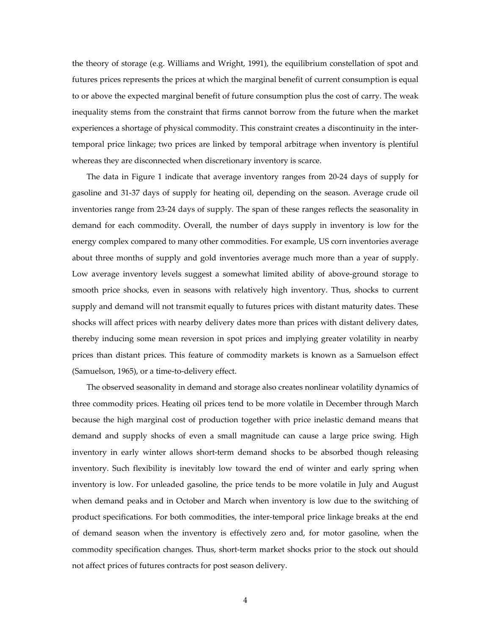the theory of storage (e.g. Williams and Wright, 1991), the equilibrium constellation of spot and futures prices represents the prices at which the marginal benefit of current consumption is equal to or above the expected marginal benefit of future consumption plus the cost of carry. The weak inequality stems from the constraint that firms cannot borrow from the future when the market experiences a shortage of physical commodity. This constraint creates a discontinuity in the inter‐ temporal price linkage; two prices are linked by temporal arbitrage when inventory is plentiful whereas they are disconnected when discretionary inventory is scarce.

The data in Figure 1 indicate that average inventory ranges from 20‐24 days of supply for gasoline and 31‐37 days of supply for heating oil, depending on the season. Average crude oil inventories range from 23‐24 days of supply. The span of these ranges reflects the seasonality in demand for each commodity. Overall, the number of days supply in inventory is low for the energy complex compared to many other commodities. For example, US corn inventories average about three months of supply and gold inventories average much more than a year of supply. Low average inventory levels suggest a somewhat limited ability of above‐ground storage to smooth price shocks, even in seasons with relatively high inventory. Thus, shocks to current supply and demand will not transmit equally to futures prices with distant maturity dates. These shocks will affect prices with nearby delivery dates more than prices with distant delivery dates, thereby inducing some mean reversion in spot prices and implying greater volatility in nearby prices than distant prices. This feature of commodity markets is known as a Samuelson effect (Samuelson, 1965), or a time‐to‐delivery effect.

The observed seasonality in demand and storage also creates nonlinear volatility dynamics of three commodity prices. Heating oil prices tend to be more volatile in December through March because the high marginal cost of production together with price inelastic demand means that demand and supply shocks of even a small magnitude can cause a large price swing. High inventory in early winter allows short-term demand shocks to be absorbed though releasing inventory. Such flexibility is inevitably low toward the end of winter and early spring when inventory is low. For unleaded gasoline, the price tends to be more volatile in July and August when demand peaks and in October and March when inventory is low due to the switching of product specifications. For both commodities, the inter-temporal price linkage breaks at the end of demand season when the inventory is effectively zero and, for motor gasoline, when the commodity specification changes. Thus, short-term market shocks prior to the stock out should not affect prices of futures contracts for post season delivery.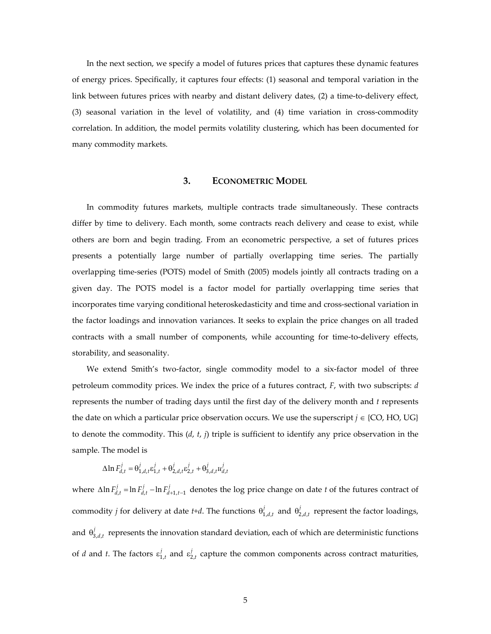In the next section, we specify a model of futures prices that captures these dynamic features of energy prices. Specifically, it captures four effects: (1) seasonal and temporal variation in the link between futures prices with nearby and distant delivery dates, (2) a time‐to‐delivery effect, (3) seasonal variation in the level of volatility, and (4) time variation in cross‐commodity correlation. In addition, the model permits volatility clustering, which has been documented for many commodity markets.

### **3. ECONOMETRIC MODEL**

In commodity futures markets, multiple contracts trade simultaneously. These contracts differ by time to delivery. Each month, some contracts reach delivery and cease to exist, while others are born and begin trading. From an econometric perspective, a set of futures prices presents a potentially large number of partially overlapping time series. The partially overlapping time‐series (POTS) model of Smith (2005) models jointly all contracts trading on a given day. The POTS model is a factor model for partially overlapping time series that incorporates time varying conditional heteroskedasticity and time and cross‐sectional variation in the factor loadings and innovation variances. It seeks to explain the price changes on all traded contracts with a small number of components, while accounting for time‐to‐delivery effects, storability, and seasonality.

We extend Smith's two-factor, single commodity model to a six-factor model of three petroleum commodity prices. We index the price of a futures contract, *F*, with two subscripts: *d* represents the number of trading days until the first day of the delivery month and *t* represents the date on which a particular price observation occurs. We use the superscript  $j \in \{CO, HO, UG\}$ to denote the commodity. This (*d*, *t*, *j*) triple is sufficient to identify any price observation in the sample. The model is

 $\Delta \ln F_{d,t}^{j} = \Theta_{1,d,t}^{j} \varepsilon_{1,t}^{j} + \Theta_{2,d,t}^{j} \varepsilon_{2,t}^{j} + \Theta_{3,d,t}^{j} u_{d,t}^{j}$ 

where  $\Delta \ln F_{d,t}^j = \ln F_{d,t}^j - \ln F_{d+1,t-1}^j$  denotes the log price change on date *t* of the futures contract of commodity *j* for delivery at date *t+d*. The functions  $\theta_{1,d,t}^j$  and  $\theta_{2,d,t}^j$  represent the factor loadings, and  $\theta_{3,d,t}^j$  represents the innovation standard deviation, each of which are deterministic functions of *d* and *t*. The factors  $\varepsilon_{1,t}^j$  and  $\varepsilon_{2,t}^j$  capture the common components across contract maturities,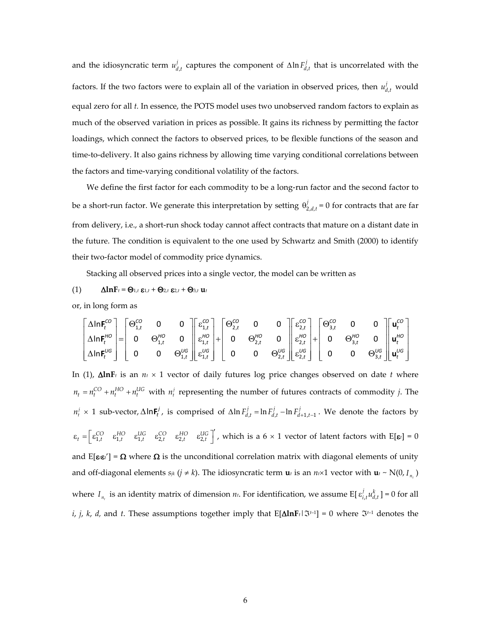and the idiosyncratic term  $u_{d,t}^j$  captures the component of  $\Delta \ln F_{d,t}^j$  that is uncorrelated with the factors. If the two factors were to explain all of the variation in observed prices, then  $u_{d,t}^j$  would equal zero for all *t.* In essence, the POTS model uses two unobserved random factors to explain as much of the observed variation in prices as possible. It gains its richness by permitting the factor loadings, which connect the factors to observed prices, to be flexible functions of the season and time-to-delivery. It also gains richness by allowing time varying conditional correlations between the factors and time‐varying conditional volatility of the factors.

We define the first factor for each commodity to be a long-run factor and the second factor to be a short-run factor. We generate this interpretation by setting  $\theta_{2,d,t}^j = 0$  for contracts that are far from delivery, i.e., a short-run shock today cannot affect contracts that mature on a distant date in the future. The condition is equivalent to the one used by Schwartz and Smith (2000) to identify their two‐factor model of commodity price dynamics.

Stacking all observed prices into a single vector, the model can be written as

(1)  $\Delta \ln F_t = \Theta_{1,t} \epsilon_{1,t} + \Theta_{2,t} \epsilon_{2,t} + \Theta_{3,t} \mathbf{u}_t$ 

or, in long form as

$$
\begin{bmatrix}\n\Delta \ln F_t^{co} \\
\Delta \ln F_t^{HO} \\
\Delta \ln F_t^{UG}\n\end{bmatrix} = \begin{bmatrix}\n\Theta_{1,t}^{CO} & 0 & 0 \\
0 & \Theta_{1,t}^{HO} & 0 \\
0 & 0 & \Theta_{1,t}^{UG}\n\end{bmatrix} \begin{bmatrix}\n\varepsilon_{1,t}^{CO} \\
\varepsilon_{1,t}^{HO} \\
\varepsilon_{1,t}^{UG}\n\end{bmatrix} + \begin{bmatrix}\n\Theta_{2,t}^{CO} & 0 & 0 \\
0 & \Theta_{2,t}^{HO} & 0 \\
0 & 0 & \Theta_{2,t}^{UG}\n\end{bmatrix} \begin{bmatrix}\n\varepsilon_{2,t}^{CO} \\
\varepsilon_{2,t}^{HO} \\
\varepsilon_{2,t}^{UG}\n\end{bmatrix} + \begin{bmatrix}\n\Theta_{3,t}^{CO} & 0 & 0 \\
0 & \Theta_{3,t}^{HO} & 0 \\
0 & 0 & \Theta_{3,t}^{UG}\n\end{bmatrix} \begin{bmatrix}\n\mathbf{u}_t^{CO} \\
\mathbf{u}_t^{HO} \\
\mathbf{u}_t^{HO}\n\end{bmatrix}
$$

In (1),  $\Delta \ln F_t$  is an  $n_t \times 1$  vector of daily futures log price changes observed on date *t* where  $n_t = n_t^{CO} + n_t^{HO} + n_t^{UG}$  with  $n_t^j$  representing the number of futures contracts of commodity *j*. The  $n_t^j$  × 1 sub-vector, ∆ln $\mathbf{F}_t^j$ , is comprised of ∆ln $F_{d,t}^j$  = ln $F_{d,t}^j$  – ln $F_{d+1,t-1}^j$ . We denote the factors by  $\varepsilon_t = \begin{bmatrix} \varepsilon_{1,t}^{CO} & \varepsilon_{1,t}^{HO} & \varepsilon_{2,t}^{HO} & \varepsilon_{2,t}^{HO} & \varepsilon_{2,t}^{UC} \end{bmatrix}$ , which is a 6 × 1 vector of latent factors with E[ $\varepsilon_t$ ] = 0 and  $E[\epsilon_i \epsilon_i'] = \Omega$  where  $\Omega$  is the unconditional correlation matrix with diagonal elements of unity and off-diagonal elements  $s_{jk}$  ( $j \neq k$ ). The idiosyncratic term  $\mathbf{u}_t$  is an  $n \times 1$  vector with  $\mathbf{u}_t \sim N(0, I_{n_t})$ where  $I_{n_t}$  is an identity matrix of dimension  $n_t$ . For identification, we assume E[ $\varepsilon_{i,t}^j u_{d,t}^k$ ] = 0 for all *i*, *j*, *k*, *d*, and *t*. These assumptions together imply that  $E[\Delta lnF_t|\mathcal{F}^{t-1}] = 0$  where  $\mathcal{F}^{t-1}$  denotes the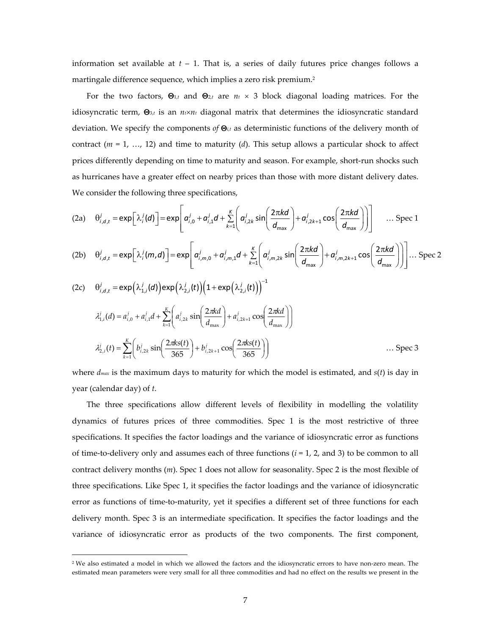information set available at *t* – 1. That is, a series of daily futures price changes follows a martingale difference sequence, which implies a zero risk premium.<sup>2</sup>

For the two factors, Θ1,*<sup>t</sup>* and Θ2,*<sup>t</sup>* are *nt* × 3 block diagonal loading matrices. For the idiosyncratic term,  $\Theta_{3,t}$  is an  $n \times n$  diagonal matrix that determines the idiosyncratic standard deviation. We specify the components *of* Θ*<sup>i</sup>*,*<sup>t</sup>* as deterministic functions of the delivery month of contract (*m* = 1, …, 12) and time to maturity (*d*). This setup allows a particular shock to affect prices differently depending on time to maturity and season. For example, short-run shocks such as hurricanes have a greater effect on nearby prices than those with more distant delivery dates. We consider the following three specifications,

$$
(2a) \quad \theta_{i,d,t}^j = \exp\left[\lambda_i^j(d)\right] = \exp\left[\alpha_{i,0}^j + \alpha_{i,1}^j d + \sum_{k=1}^k \left(\alpha_{i,2k}^j \sin\left(\frac{2\pi kd}{d_{\max}}\right) + \alpha_{i,2k+1}^j \cos\left(\frac{2\pi kd}{d_{\max}}\right)\right)\right] \quad \dots \text{Spec 1}
$$

$$
(2b) \quad \theta_{i,d,t}^j = \exp\left[\lambda_i^j(m,d)\right] = \exp\left[\alpha_{i,m,0}^j + \alpha_{i,m,1}^j d + \sum_{k=1}^k \left(\alpha_{i,m,2k}^j \sin\left(\frac{2\pi kd}{d_{\max}}\right) + \alpha_{i,m,2k+1}^j \cos\left(\frac{2\pi kd}{d_{\max}}\right)\right)\right] \dots \text{ Spec 2}
$$

(2c) 
$$
\theta_{i,d,t}^{j} = \exp(\lambda_{1,i}^{j}(d)) \exp(\lambda_{2,i}^{j}(t)) (1 + \exp(\lambda_{2,i}^{j}(t)))^{-1}
$$
  
\n
$$
\lambda_{1,i}^{j}(d) = a_{i,0}^{j} + a_{i,1}^{j}d + \sum_{k=1}^{K} \left( a_{i,2k}^{j} \sin\left(\frac{2\pi kd}{d_{\max}}\right) + a_{i,2k+1}^{j} \cos\left(\frac{2\pi kd}{d_{\max}}\right) \right)
$$
\n
$$
\lambda_{2,i}^{j}(t) = \sum_{k=1}^{K} \left( b_{i,2k}^{j} \sin\left(\frac{2\pi ks(t)}{365}\right) + b_{i,2k+1}^{j} \cos\left(\frac{2\pi ks(t)}{365}\right) \right) \dots \text{Spec 3}
$$

where *dmax* is the maximum days to maturity for which the model is estimated, and *s*(*t*) is day in year (calendar day) of *t*.

The three specifications allow different levels of flexibility in modelling the volatility dynamics of futures prices of three commodities. Spec 1 is the most restrictive of three specifications. It specifies the factor loadings and the variance of idiosyncratic error as functions of time-to-delivery only and assumes each of three functions  $(i = 1, 2,$  and 3) to be common to all contract delivery months (*m*). Spec 1 does not allow for seasonality. Spec 2 is the most flexible of three specifications. Like Spec 1, it specifies the factor loadings and the variance of idiosyncratic error as functions of time-to-maturity, yet it specifies a different set of three functions for each delivery month. Spec 3 is an intermediate specification. It specifies the factor loadings and the variance of idiosyncratic error as products of the two components. The first component,

<sup>2</sup> We also estimated a model in which we allowed the factors and the idiosyncratic errors to have non‐zero mean. The estimated mean parameters were very small for all three commodities and had no effect on the results we present in the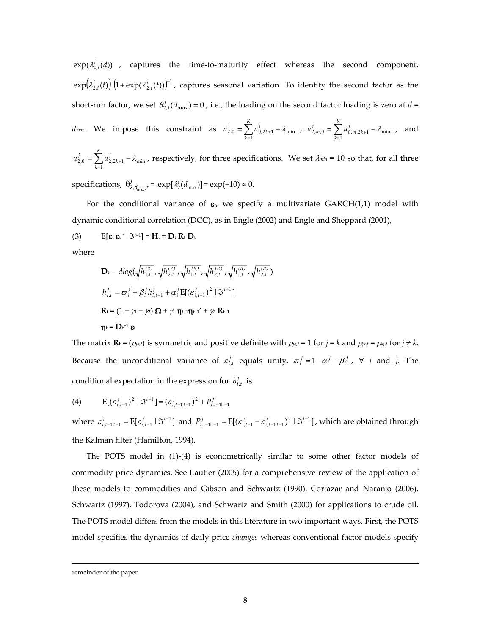$exp(\lambda_{1,i}^{j}(d))$  , captures the time-to-maturity effect whereas the second component,  $\exp\!\left(\!\lambda^{j}_{2,i}(t)\!\right)\!\left(\!1\!+\!\exp\!\left(\lambda^{j}_{2,i}(t)\right)\!\right)^{\!-1}$ , captures seasonal variation. To identify the second factor as the short-run factor, we set  $\theta_{2,t}^j(d_{\text{max}}) = 0$ , i.e., the loading on the second factor loading is zero at  $d =$ *K j K j j*

$$
d_{max}
$$
. We impose this constraint as  $a_{2,0}^j = \sum_{k=1}^{\infty} a_{0,2k+1}^j - \lambda_{min}$ ,  $a_{2,m,0}^j = \sum_{k=1}^{\infty} a_{0,m,2k+1}^j - \lambda_{min}$ , and

 $\sum_{k=1}^{j} a_{2,2k+1}^{j} - \lambda_{\min}$ *K k*  $a_{2,0}^j = \sum a_{2,2k+1}^j - \lambda_{\min}$ , respectively, for three specifications. We set  $\lambda_{min}$  = 10 so that, for all three

specifications,  $\theta_{2, d_{\text{max}}, t}^j = \exp[\lambda_2^j(d_{\text{max}})] = \exp(-10) \approx 0.$ 

For the conditional variance of  $\varepsilon$ , we specify a multivariate  $GARCH(1,1)$  model with dynamic conditional correlation (DCC), as in Engle (2002) and Engle and Sheppard (2001),

(3)  $E[\epsilon_t \epsilon_t' | \Im^{t-1}] = H_t = D_t R_t D_t$ 

where

$$
\mathbf{D}_{t} = diag(\sqrt{h_{1,t}^{CO}}, \sqrt{h_{2,t}^{CO}}, \sqrt{h_{1,t}^{HO}}, \sqrt{h_{2,t}^{HO}}, \sqrt{h_{1,t}^{UC}}, \sqrt{h_{2,t}^{UC}})
$$
\n
$$
h_{i,t}^{j} = \varpi_{i}^{j} + \beta_{i}^{j}h_{i,t-1}^{j} + \alpha_{i}^{j}\mathbf{E}[(\varepsilon_{i,t-1}^{j})^{2} | \mathfrak{S}^{t-1}]
$$
\n
$$
\mathbf{R}_{t} = (1 - \gamma_{t} - \gamma_{t}) \mathbf{\Omega} + \gamma_{t} \mathbf{\eta}_{t-1} + \gamma_{t} \mathbf{R}_{t-1}
$$
\n
$$
\mathbf{\eta}_{t} = \mathbf{D}_{t}^{-1} \mathbf{\varepsilon}_{t}
$$

The matrix  $\mathbf{R}_t = (\rho_{jk,t})$  is symmetric and positive definite with  $\rho_{jk,t} = 1$  for  $j = k$  and  $\rho_{jk,t} = \rho_{kj,t}$  for  $j \neq k$ . Because the unconditional variance of  $\varepsilon_{i,t}^j$  equals unity,  $\varpi_i^j = 1 - \alpha_i^j - \beta_i^j$ ,  $\forall$  *i* and *j*. The conditional expectation in the expression for  $h_{i,t}^j$  is

(4) 
$$
E[(\varepsilon_{i,t-1}^j)^2 | \Im^{t-1}] = (\varepsilon_{i,t-1|t-1}^j)^2 + P_{i,t-1|t-1}^j
$$

where  $\varepsilon_{i,t-1|t-1}^j = E[\varepsilon_{i,t-1}^j \mid \Im^{t-1}]$  and  $P_{i,t-1|t-1}^j = E[(\varepsilon_{i,t-1}^j - \varepsilon_{i,t-1|t-1}^j)^2 \mid \Im^{t-1}]$ , which are obtained through the Kalman filter (Hamilton, 1994).

The POTS model in (1)-(4) is econometrically similar to some other factor models of commodity price dynamics. See Lautier (2005) for a comprehensive review of the application of these models to commodities and Gibson and Schwartz (1990), Cortazar and Naranjo (2006), Schwartz (1997), Todorova (2004), and Schwartz and Smith (2000) for applications to crude oil. The POTS model differs from the models in this literature in two important ways. First, the POTS model specifies the dynamics of daily price *changes* whereas conventional factor models specify

<u> 1989 - Jan Salaman Salaman (j. 1989)</u>

remainder of the paper.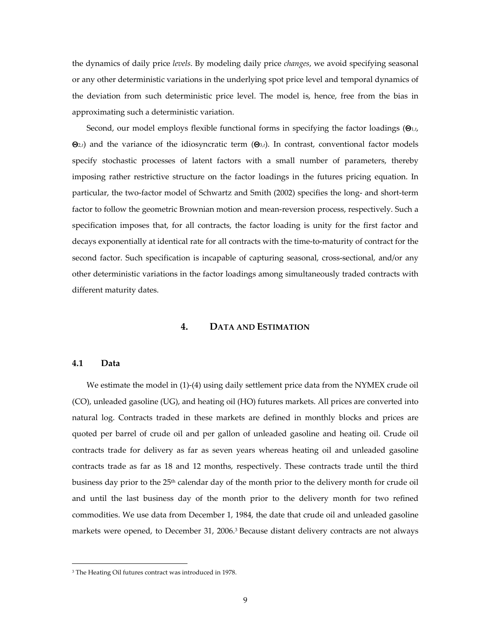the dynamics of daily price *levels*. By modeling daily price *changes*, we avoid specifying seasonal or any other deterministic variations in the underlying spot price level and temporal dynamics of the deviation from such deterministic price level. The model is, hence, free from the bias in approximating such a deterministic variation.

Second, our model employs flexible functional forms in specifying the factor loadings (Θ1,*t*,  $\Theta$ <sub>2</sub>,*t*) and the variance of the idiosyncratic term ( $\Theta$ <sub>3</sub>,*t*). In contrast, conventional factor models specify stochastic processes of latent factors with a small number of parameters, thereby imposing rather restrictive structure on the factor loadings in the futures pricing equation. In particular, the two-factor model of Schwartz and Smith (2002) specifies the long- and short-term factor to follow the geometric Brownian motion and mean-reversion process, respectively. Such a specification imposes that, for all contracts, the factor loading is unity for the first factor and decays exponentially at identical rate for all contracts with the time‐to‐maturity of contract for the second factor. Such specification is incapable of capturing seasonal, cross-sectional, and/or any other deterministic variations in the factor loadings among simultaneously traded contracts with different maturity dates.

#### **4. DATA AND ESTIMATION**

#### **4.1 Data**

We estimate the model in (1)-(4) using daily settlement price data from the NYMEX crude oil (CO), unleaded gasoline (UG), and heating oil (HO) futures markets. All prices are converted into natural log. Contracts traded in these markets are defined in monthly blocks and prices are quoted per barrel of crude oil and per gallon of unleaded gasoline and heating oil. Crude oil contracts trade for delivery as far as seven years whereas heating oil and unleaded gasoline contracts trade as far as 18 and 12 months, respectively. These contracts trade until the third business day prior to the 25th calendar day of the month prior to the delivery month for crude oil and until the last business day of the month prior to the delivery month for two refined commodities. We use data from December 1, 1984, the date that crude oil and unleaded gasoline markets were opened, to December 31, 2006.<sup>3</sup> Because distant delivery contracts are not always

<u> 1989 - Johann Stein, marwolaethau a bhann an t-Amhair Aonaichte an t-Amhair Aonaichte an t-Amhair Aonaichte a</u>

<sup>&</sup>lt;sup>3</sup> The Heating Oil futures contract was introduced in 1978.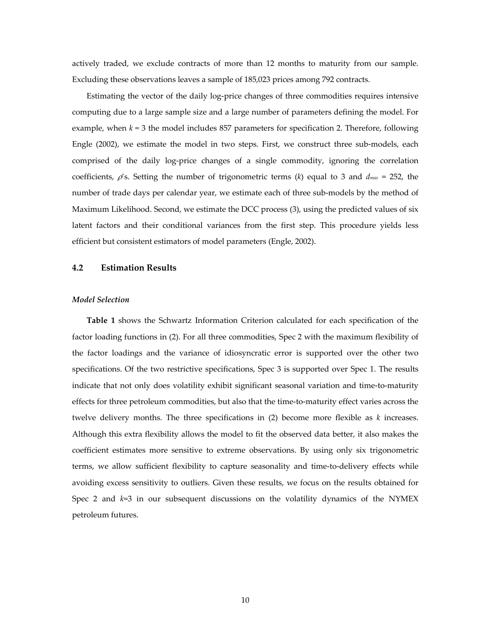actively traded, we exclude contracts of more than 12 months to maturity from our sample. Excluding these observations leaves a sample of 185,023 prices among 792 contracts.

Estimating the vector of the daily log‐price changes of three commodities requires intensive computing due to a large sample size and a large number of parameters defining the model. For example, when  $k = 3$  the model includes 857 parameters for specification 2. Therefore, following Engle (2002), we estimate the model in two steps. First, we construct three sub-models, each comprised of the daily log‐price changes of a single commodity, ignoring the correlation coefficients,  $\rho$ 's. Setting the number of trigonometric terms (*k*) equal to 3 and  $d_{max} = 252$ , the number of trade days per calendar year, we estimate each of three sub-models by the method of Maximum Likelihood. Second, we estimate the DCC process (3), using the predicted values of six latent factors and their conditional variances from the first step. This procedure yields less efficient but consistent estimators of model parameters (Engle, 2002).

#### **4.2 Estimation Results**

#### *Model Selection*

**Table 1** shows the Schwartz Information Criterion calculated for each specification of the factor loading functions in (2). For all three commodities, Spec 2 with the maximum flexibility of the factor loadings and the variance of idiosyncratic error is supported over the other two specifications. Of the two restrictive specifications, Spec 3 is supported over Spec 1. The results indicate that not only does volatility exhibit significant seasonal variation and time‐to‐maturity effects for three petroleum commodities, but also that the time‐to‐maturity effect varies across the twelve delivery months. The three specifications in (2) become more flexible as *k* increases. Although this extra flexibility allows the model to fit the observed data better, it also makes the coefficient estimates more sensitive to extreme observations. By using only six trigonometric terms, we allow sufficient flexibility to capture seasonality and time‐to‐delivery effects while avoiding excess sensitivity to outliers. Given these results, we focus on the results obtained for Spec 2 and *k*=3 in our subsequent discussions on the volatility dynamics of the NYMEX petroleum futures.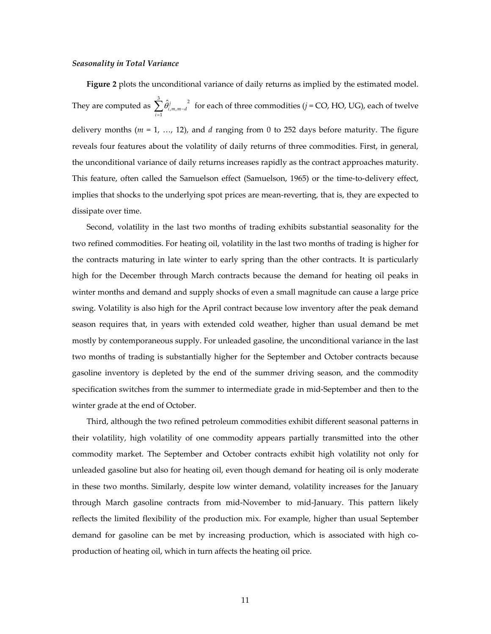#### *Seasonality in Total Variance*

**Figure 2** plots the unconditional variance of daily returns as implied by the estimated model. They are computed as  $\sum_{i=1} \hat{\theta}_{i,m,m-1}^j$ 3 1  $\sum_{i=1} \hat{\theta}_{i,m,m-d}^{j}$  for each of three commodities (*j* = CO, HO, UG), each of twelve delivery months (*m* = 1, …, 12), and *d* ranging from 0 to 252 days before maturity. The figure reveals four features about the volatility of daily returns of three commodities. First, in general, the unconditional variance of daily returns increases rapidly as the contract approaches maturity. This feature, often called the Samuelson effect (Samuelson, 1965) or the time‐to‐delivery effect, implies that shocks to the underlying spot prices are mean-reverting, that is, they are expected to dissipate over time.

Second, volatility in the last two months of trading exhibits substantial seasonality for the two refined commodities. For heating oil, volatility in the last two months of trading is higher for the contracts maturing in late winter to early spring than the other contracts. It is particularly high for the December through March contracts because the demand for heating oil peaks in winter months and demand and supply shocks of even a small magnitude can cause a large price swing. Volatility is also high for the April contract because low inventory after the peak demand season requires that, in years with extended cold weather, higher than usual demand be met mostly by contemporaneous supply. For unleaded gasoline, the unconditional variance in the last two months of trading is substantially higher for the September and October contracts because gasoline inventory is depleted by the end of the summer driving season, and the commodity specification switches from the summer to intermediate grade in mid-September and then to the winter grade at the end of October.

Third, although the two refined petroleum commodities exhibit different seasonal patterns in their volatility, high volatility of one commodity appears partially transmitted into the other commodity market. The September and October contracts exhibit high volatility not only for unleaded gasoline but also for heating oil, even though demand for heating oil is only moderate in these two months. Similarly, despite low winter demand, volatility increases for the January through March gasoline contracts from mid‐November to mid‐January. This pattern likely reflects the limited flexibility of the production mix. For example, higher than usual September demand for gasoline can be met by increasing production, which is associated with high coproduction of heating oil, which in turn affects the heating oil price.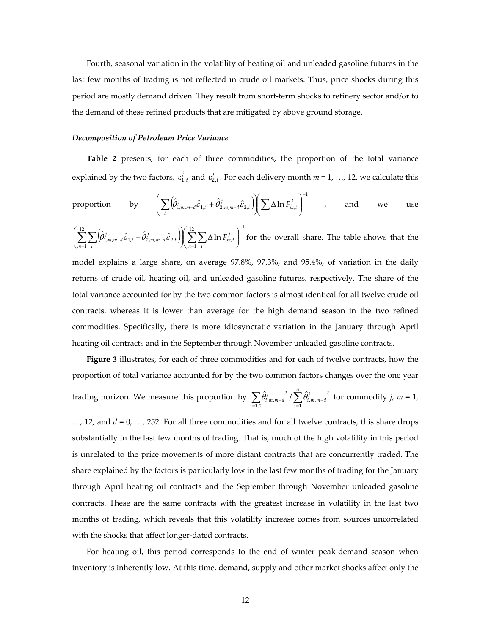Fourth, seasonal variation in the volatility of heating oil and unleaded gasoline futures in the last few months of trading is not reflected in crude oil markets. Thus, price shocks during this period are mostly demand driven. They result from short-term shocks to refinery sector and/or to the demand of these refined products that are mitigated by above ground storage.

#### *Decomposition of Petroleum Price Variance*

**Table 2** presents, for each of three commodities, the proportion of the total variance explained by the two factors,  $\varepsilon_{1,t}^j$  and  $\varepsilon_{2,t}^j$ . For each delivery month  $m = 1, ..., 12$ , we calculate this

proportion by 
$$
\left(\sum_{t} (\hat{\theta}_{1,m,m-d}^{j} \hat{\epsilon}_{1,t} + \hat{\theta}_{2,m,m-d}^{j} \hat{\epsilon}_{2,t})\right) \left(\sum_{t} \Delta \ln F_{m,t}^{j}\right)^{-1}
$$
, and we use

 $\left(\hat{\theta}^j_{1,m,m=d}\hat{\varepsilon}_{1:t}+\hat{\theta}^j_{2,m,m=d}\hat{\varepsilon}_{2:t}\right)\left(\sum^{12}\sum\Delta\ln F^j_{m,t}\right)^{-1}$  $\sum_{1}$   $\sum_{t}$   $\sum_{t}$   $\sum_{t}$   $\sum_{t}$   $\sum_{t}$   $\sum_{t}$   $\sum_{t}$   $\sum_{t}$ 12  $\sum\limits_{i=1}^N\Bigl(\!\hat{\theta}_{1,m,m-d}^{\,j}\hat{\varepsilon}_{1,t}^{\,}+\hat{\theta}_{2,m,m-d}^{\,j}\hat{\varepsilon}_{2,t}^{\,}\Bigr) \!\!\!\Bigl(\sum\limits_{m=1}^N\sum\limits_{t}\Delta\ln\delta_t^{\,j}\Bigr)$ −  $\sum_{t=1}^T \sum_t \Bigl(\!\hat{\theta}_{1,m,m-d}^i \hat{\varepsilon}_{1,t}^{\phantom{\dag}} + \hat{\theta}_{2,m,m-d}^j \hat{\varepsilon}_{2,t}^{\phantom{\dag}}\Bigr) \! \Bigl\| \! \sum_{m=1}^T \! \sum_t \! \Delta \ln F_{m,t}^j \Bigr) \! \Bigl(\sum_{m=1}^T \sum_t \Delta \ln F_{m,t}^j \Bigr)$ ⎠ ⎞  $\parallel$  $\left( \sum_{m=1}^{12} \sum_t \Delta \right)$ ⎠ ⎞  $\parallel$ ⎝  $\Biggl( \sum_{m=1}^{12} \sum_t \Biggl( \hat{\theta}^{\,j}_{1,m,m-d} \, \hat{\varepsilon}_{1,t} + \hat{\theta}^{\,j}_{2,m,m-d} \, \hat{\varepsilon}_{2,t} \, \Biggr) \!\!\! \Biggl( \sum_{m=1}^{12} \sum_t$  $\sum_{m=1}^{\infty} \sum_{t} \left( \hat{\theta}_{1,m,m-d}^j \hat{\epsilon}_{1,t} + \hat{\theta}_{2,m,m-d}^j \hat{\epsilon}_{2,t} \right) \left( \sum_{m=1}^{\infty} \sum_{t} \Delta \ln F_{m,t}^j \right)$  for the overall share. The table shows that the model explains a large share, on average 97.8%, 97.3%, and 95.4%, of variation in the daily

returns of crude oil, heating oil, and unleaded gasoline futures, respectively. The share of the total variance accounted for by the two common factors is almost identical for all twelve crude oil contracts, whereas it is lower than average for the high demand season in the two refined commodities. Specifically, there is more idiosyncratic variation in the January through April heating oil contracts and in the September through November unleaded gasoline contracts.

**Figure 3** illustrates, for each of three commodities and for each of twelve contracts, how the proportion of total variance accounted for by the two common factors changes over the one year trading horizon. We measure this proportion by  $\sum_{i=1,2} \hat{\theta}^j_{i,m,m-d}$   $\sum_{i=1}^n \hat{\theta}^j_{i,m,m-d}$ 3 1 2  $\sum_{i=1}^{n} 0_{i,m,m-d}$  /  $\sum_{i=1}^{n} 0_{i,m}$ ,  $\hat{\theta}^j_{i,m,m-d}$ <sup>2</sup> /  $\sum_{i=1}^{\infty} \hat{\theta}^j$  $\sum_{i=1,2} \hat{\theta}_{i,m,m-d}^{j} / \sum_{i=1} \hat{\theta}_{i,m,m-d}^{j}$  for commodity *j*, *m* = 1,

…, 12, and *d* = 0, …, 252. For all three commodities and for all twelve contracts, this share drops substantially in the last few months of trading. That is, much of the high volatility in this period is unrelated to the price movements of more distant contracts that are concurrently traded. The share explained by the factors is particularly low in the last few months of trading for the January through April heating oil contracts and the September through November unleaded gasoline contracts. These are the same contracts with the greatest increase in volatility in the last two months of trading, which reveals that this volatility increase comes from sources uncorrelated with the shocks that affect longer-dated contracts.

For heating oil, this period corresponds to the end of winter peak-demand season when inventory is inherently low. At this time, demand, supply and other market shocks affect only the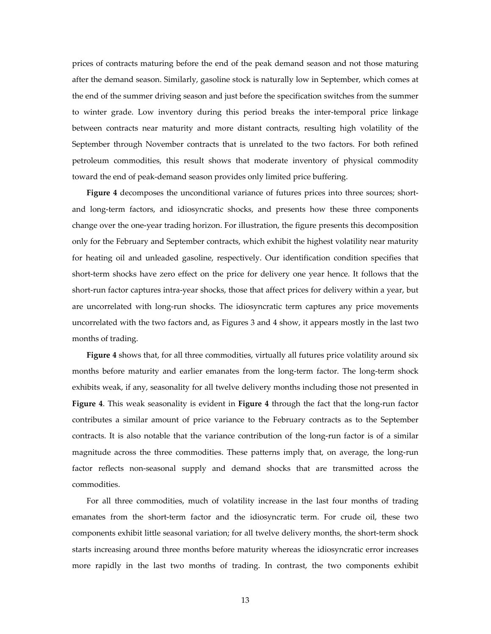prices of contracts maturing before the end of the peak demand season and not those maturing after the demand season. Similarly, gasoline stock is naturally low in September, which comes at the end of the summer driving season and just before the specification switches from the summer to winter grade. Low inventory during this period breaks the inter-temporal price linkage between contracts near maturity and more distant contracts, resulting high volatility of the September through November contracts that is unrelated to the two factors. For both refined petroleum commodities, this result shows that moderate inventory of physical commodity toward the end of peak‐demand season provides only limited price buffering.

Figure 4 decomposes the unconditional variance of futures prices into three sources; shortand long-term factors, and idiosyncratic shocks, and presents how these three components change over the one‐year trading horizon. For illustration, the figure presents this decomposition only for the February and September contracts, which exhibit the highest volatility near maturity for heating oil and unleaded gasoline, respectively. Our identification condition specifies that short-term shocks have zero effect on the price for delivery one year hence. It follows that the short-run factor captures intra-year shocks, those that affect prices for delivery within a year, but are uncorrelated with long-run shocks. The idiosyncratic term captures any price movements uncorrelated with the two factors and, as Figures 3 and 4 show, it appears mostly in the last two months of trading.

**Figure 4** shows that, for all three commodities, virtually all futures price volatility around six months before maturity and earlier emanates from the long‐term factor. The long‐term shock exhibits weak, if any, seasonality for all twelve delivery months including those not presented in **Figure** 4. This weak seasonality is evident in **Figure** 4 through the fact that the long-run factor contributes a similar amount of price variance to the February contracts as to the September contracts. It is also notable that the variance contribution of the long-run factor is of a similar magnitude across the three commodities. These patterns imply that, on average, the long-run factor reflects non-seasonal supply and demand shocks that are transmitted across the commodities.

For all three commodities, much of volatility increase in the last four months of trading emanates from the short‐term factor and the idiosyncratic term. For crude oil, these two components exhibit little seasonal variation; for all twelve delivery months, the short-term shock starts increasing around three months before maturity whereas the idiosyncratic error increases more rapidly in the last two months of trading. In contrast, the two components exhibit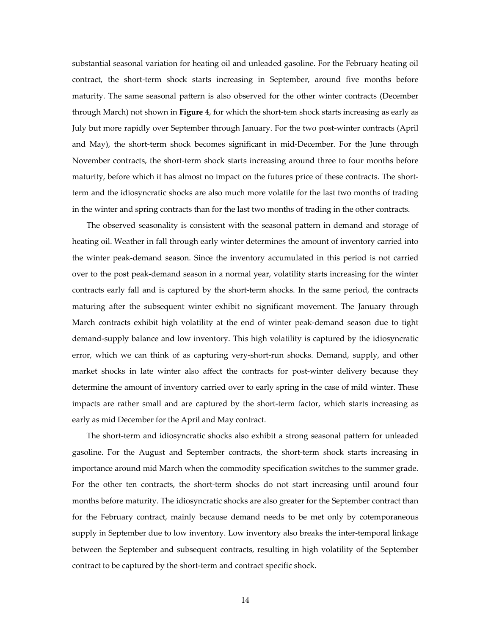substantial seasonal variation for heating oil and unleaded gasoline. For the February heating oil contract, the short‐term shock starts increasing in September, around five months before maturity. The same seasonal pattern is also observed for the other winter contracts (December through March) not shown in **Figure 4**, for which the short‐tem shock starts increasing as early as July but more rapidly over September through January. For the two post‐winter contracts (April and May), the short-term shock becomes significant in mid-December. For the June through November contracts, the short-term shock starts increasing around three to four months before maturity, before which it has almost no impact on the futures price of these contracts. The short‐ term and the idiosyncratic shocks are also much more volatile for the last two months of trading in the winter and spring contracts than for the last two months of trading in the other contracts.

The observed seasonality is consistent with the seasonal pattern in demand and storage of heating oil. Weather in fall through early winter determines the amount of inventory carried into the winter peak‐demand season. Since the inventory accumulated in this period is not carried over to the post peak‐demand season in a normal year, volatility starts increasing for the winter contracts early fall and is captured by the short-term shocks. In the same period, the contracts maturing after the subsequent winter exhibit no significant movement. The January through March contracts exhibit high volatility at the end of winter peak‐demand season due to tight demand‐supply balance and low inventory. This high volatility is captured by the idiosyncratic error, which we can think of as capturing very-short-run shocks. Demand, supply, and other market shocks in late winter also affect the contracts for post-winter delivery because they determine the amount of inventory carried over to early spring in the case of mild winter. These impacts are rather small and are captured by the short-term factor, which starts increasing as early as mid December for the April and May contract.

The short-term and idiosyncratic shocks also exhibit a strong seasonal pattern for unleaded gasoline. For the August and September contracts, the short-term shock starts increasing in importance around mid March when the commodity specification switches to the summer grade. For the other ten contracts, the short-term shocks do not start increasing until around four months before maturity. The idiosyncratic shocks are also greater for the September contract than for the February contract, mainly because demand needs to be met only by cotemporaneous supply in September due to low inventory. Low inventory also breaks the inter-temporal linkage between the September and subsequent contracts, resulting in high volatility of the September contract to be captured by the short-term and contract specific shock.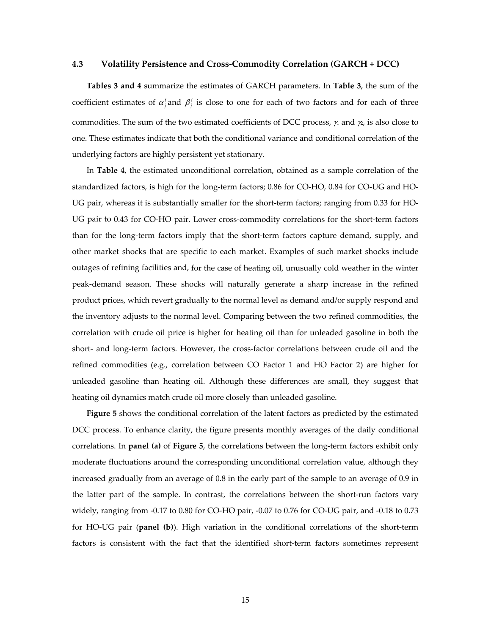#### **4.3 Volatility Persistence and Cross‐Commodity Correlation (GARCH + DCC)**

**Tables 3 and 4** summarize the estimates of GARCH parameters. In **Table 3**, the sum of the coefficient estimates of  $\alpha_i^i$  and  $\beta_i^i$  is close to one for each of two factors and for each of three commodities. The sum of the two estimated coefficients of DCC process,  $\gamma$  and  $\gamma$ , is also close to one. These estimates indicate that both the conditional variance and conditional correlation of the underlying factors are highly persistent yet stationary.

In **Table 4**, the estimated unconditional correlation, obtained as a sample correlation of the standardized factors, is high for the long-term factors; 0.86 for CO-HO, 0.84 for CO-UG and HO-UG pair, whereas it is substantially smaller for the short-term factors; ranging from 0.33 for HO-UG pair to 0.43 for CO‐HO pair. Lower cross‐commodity correlations for the short‐term factors than for the long‐term factors imply that the short‐term factors capture demand, supply, and other market shocks that are specific to each market. Examples of such market shocks include outages of refining facilities and, for the case of heating oil, unusually cold weather in the winter peak‐demand season. These shocks will naturally generate a sharp increase in the refined product prices, which revert gradually to the normal level as demand and/or supply respond and the inventory adjusts to the normal level. Comparing between the two refined commodities, the correlation with crude oil price is higher for heating oil than for unleaded gasoline in both the short- and long-term factors. However, the cross-factor correlations between crude oil and the refined commodities (e.g., correlation between CO Factor 1 and HO Factor 2) are higher for unleaded gasoline than heating oil. Although these differences are small, they suggest that heating oil dynamics match crude oil more closely than unleaded gasoline.

**Figure 5** shows the conditional correlation of the latent factors as predicted by the estimated DCC process. To enhance clarity, the figure presents monthly averages of the daily conditional correlations. In **panel (a)** of **Figure 5**, the correlations between the long‐term factors exhibit only moderate fluctuations around the corresponding unconditional correlation value, although they increased gradually from an average of 0.8 in the early part of the sample to an average of 0.9 in the latter part of the sample. In contrast, the correlations between the short-run factors vary widely, ranging from -0.17 to 0.80 for CO-HO pair, -0.07 to 0.76 for CO-UG pair, and -0.18 to 0.73 for HO‐UG pair (**panel (b)**). High variation in the conditional correlations of the short‐term factors is consistent with the fact that the identified short-term factors sometimes represent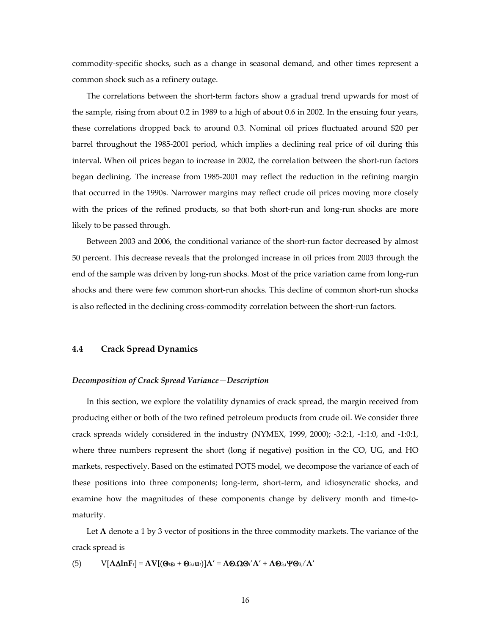commodity‐specific shocks, such as a change in seasonal demand, and other times represent a common shock such as a refinery outage.

The correlations between the short-term factors show a gradual trend upwards for most of the sample, rising from about 0.2 in 1989 to a high of about 0.6 in 2002. In the ensuing four years, these correlations dropped back to around 0.3. Nominal oil prices fluctuated around \$20 per barrel throughout the 1985‐2001 period, which implies a declining real price of oil during this interval. When oil prices began to increase in 2002, the correlation between the short-run factors began declining. The increase from 1985‐2001 may reflect the reduction in the refining margin that occurred in the 1990s. Narrower margins may reflect crude oil prices moving more closely with the prices of the refined products, so that both short-run and long-run shocks are more likely to be passed through.

Between 2003 and 2006, the conditional variance of the short-run factor decreased by almost 50 percent. This decrease reveals that the prolonged increase in oil prices from 2003 through the end of the sample was driven by long-run shocks. Most of the price variation came from long-run shocks and there were few common short-run shocks. This decline of common short-run shocks is also reflected in the declining cross-commodity correlation between the short-run factors.

### **4.4 Crack Spread Dynamics**

#### *Decomposition of Crack Spread Variance—Description*

In this section, we explore the volatility dynamics of crack spread, the margin received from producing either or both of the two refined petroleum products from crude oil. We consider three crack spreads widely considered in the industry (NYMEX, 1999, 2000); ‐3:2:1, ‐1:1:0, and ‐1:0:1, where three numbers represent the short (long if negative) position in the CO, UG, and HO markets, respectively. Based on the estimated POTS model, we decompose the variance of each of these positions into three components; long-term, short-term, and idiosyncratic shocks, and examine how the magnitudes of these components change by delivery month and time-tomaturity.

Let **A** denote a 1 by 3 vector of positions in the three commodity markets. The variance of the crack spread is

(5)  $V[A\Delta lnF_t] = AV[(\Theta_i \varepsilon_t + \Theta_{3,t} u_t)]A' = A\Theta_i \Omega \Theta_i' A' + A\Theta_{3,t} \Psi \Theta_{3,t'} A'$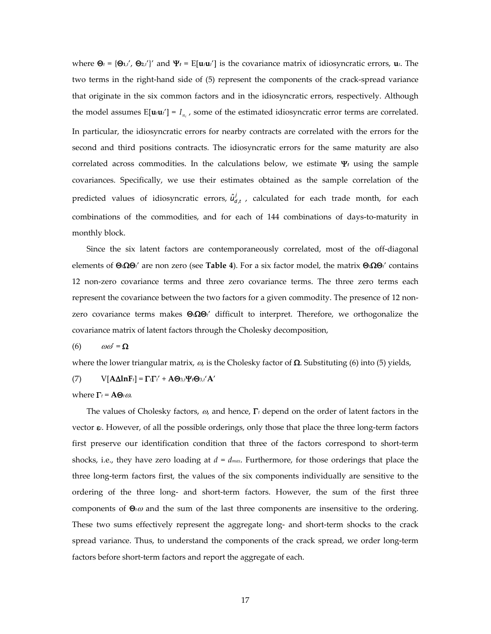where  $\Theta_t = {\Theta_{t,t}}'$ ,  $\Theta_{2,t'}'$  and  $\Psi_t = E[\mathbf{u}_t \mathbf{u}_t']$  is the covariance matrix of idiosyncratic errors,  $\mathbf{u}_t$ . The two terms in the right-hand side of (5) represent the components of the crack-spread variance that originate in the six common factors and in the idiosyncratic errors, respectively. Although the model assumes  $E[\mathbf{u}_i \mathbf{u}_i] = I_{n}$ , some of the estimated idiosyncratic error terms are correlated. In particular, the idiosyncratic errors for nearby contracts are correlated with the errors for the second and third positions contracts. The idiosyncratic errors for the same maturity are also correlated across commodities. In the calculations below, we estimate  $\Psi_t$  using the sample covariances. Specifically, we use their estimates obtained as the sample correlation of the predicted values of idiosyncratic errors,  $\hat{u}^j_{d,t}$ , calculated for each trade month, for each combinations of the commodities, and for each of 144 combinations of days‐to‐maturity in monthly block.

Since the six latent factors are contemporaneously correlated, most of the off-diagonal elements of Θ*t*ΩΘ*t*' are non zero (see **Table 4**). For a six factor model, the matrix Θ*t*ΩΘ*t*' contains 12 non-zero covariance terms and three zero covariance terms. The three zero terms each represent the covariance between the two factors for a given commodity. The presence of 12 nonzero covariance terms makes Θ*t*ΩΘ*t*' difficult to interpret. Therefore, we orthogonalize the covariance matrix of latent factors through the Cholesky decomposition,

(6)  $\omega \omega' = \Omega$ 

where the lower triangular matrix,  $\omega$ , is the Cholesky factor of  $\Omega$ . Substituting (6) into (5) yields,

(7)  $V[A\Delta lnF_t] = \Gamma_t\Gamma_t' + A\Theta_{3,t}\Psi_t\Theta_{3,t'}A'$ 

where  $\Gamma_t = \mathbf{A}\mathbf{\Theta}_t\omega$ .

The values of Cholesky factors, <sup>ω</sup>, and hence, Γ*<sup>t</sup>* depend on the order of latent factors in the vector ε<sub>*t*</sub>. However, of all the possible orderings, only those that place the three long-term factors first preserve our identification condition that three of the factors correspond to short-term shocks, i.e., they have zero loading at  $d = d_{max}$ . Furthermore, for those orderings that place the three long‐term factors first, the values of the six components individually are sensitive to the ordering of the three long‐ and short‐term factors. However, the sum of the first three components of Θ*t*<sup>ω</sup> and the sum of the last three components are insensitive to the ordering. These two sums effectively represent the aggregate long- and short-term shocks to the crack spread variance. Thus, to understand the components of the crack spread, we order long-term factors before short-term factors and report the aggregate of each.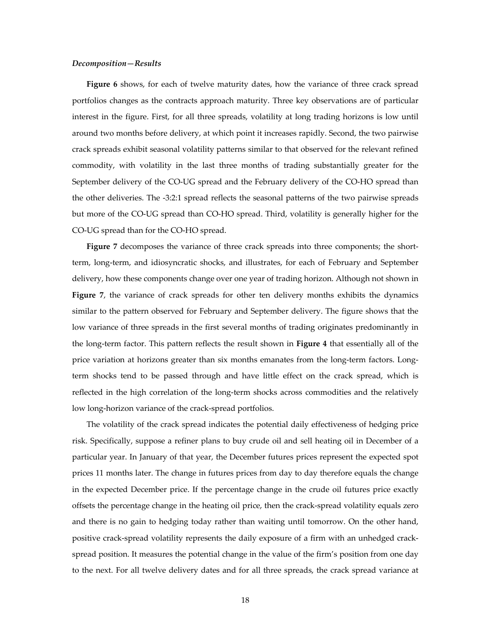#### *Decomposition—Results*

**Figure 6** shows, for each of twelve maturity dates, how the variance of three crack spread portfolios changes as the contracts approach maturity. Three key observations are of particular interest in the figure. First, for all three spreads, volatility at long trading horizons is low until around two months before delivery, at which point it increases rapidly. Second, the two pairwise crack spreads exhibit seasonal volatility patterns similar to that observed for the relevant refined commodity, with volatility in the last three months of trading substantially greater for the September delivery of the CO-UG spread and the February delivery of the CO-HO spread than the other deliveries. The ‐3:2:1 spread reflects the seasonal patterns of the two pairwise spreads but more of the CO‐UG spread than CO‐HO spread. Third, volatility is generally higher for the CO‐UG spread than for the CO‐HO spread.

Figure 7 decomposes the variance of three crack spreads into three components; the shortterm, long‐term, and idiosyncratic shocks, and illustrates, for each of February and September delivery, how these components change over one year of trading horizon. Although not shown in **Figure 7**, the variance of crack spreads for other ten delivery months exhibits the dynamics similar to the pattern observed for February and September delivery. The figure shows that the low variance of three spreads in the first several months of trading originates predominantly in the long‐term factor. This pattern reflects the result shown in **Figure 4** that essentially all of the price variation at horizons greater than six months emanates from the long-term factors. Longterm shocks tend to be passed through and have little effect on the crack spread, which is reflected in the high correlation of the long‐term shocks across commodities and the relatively low long‐horizon variance of the crack‐spread portfolios.

The volatility of the crack spread indicates the potential daily effectiveness of hedging price risk. Specifically, suppose a refiner plans to buy crude oil and sell heating oil in December of a particular year. In January of that year, the December futures prices represent the expected spot prices 11 months later. The change in futures prices from day to day therefore equals the change in the expected December price. If the percentage change in the crude oil futures price exactly offsets the percentage change in the heating oil price, then the crack‐spread volatility equals zero and there is no gain to hedging today rather than waiting until tomorrow. On the other hand, positive crack‐spread volatility represents the daily exposure of a firm with an unhedged crack‐ spread position. It measures the potential change in the value of the firm's position from one day to the next. For all twelve delivery dates and for all three spreads, the crack spread variance at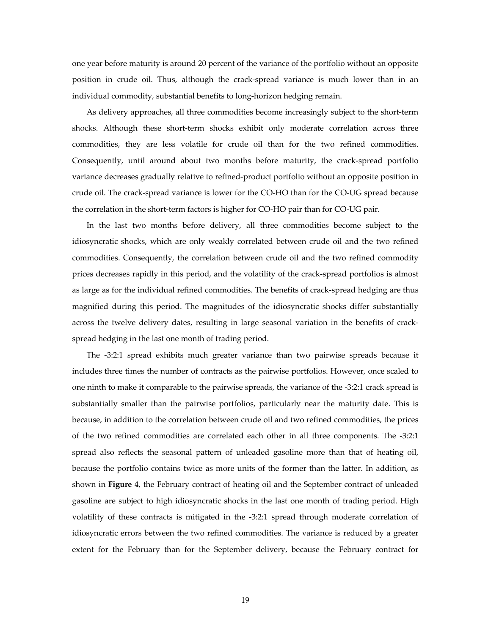one year before maturity is around 20 percent of the variance of the portfolio without an opposite position in crude oil. Thus, although the crack‐spread variance is much lower than in an individual commodity, substantial benefits to long‐horizon hedging remain.

As delivery approaches, all three commodities become increasingly subject to the short‐term shocks. Although these short‐term shocks exhibit only moderate correlation across three commodities, they are less volatile for crude oil than for the two refined commodities. Consequently, until around about two months before maturity, the crack‐spread portfolio variance decreases gradually relative to refined‐product portfolio without an opposite position in crude oil. The crack‐spread variance is lower for the CO‐HO than for the CO‐UG spread because the correlation in the short‐term factors is higher for CO‐HO pair than for CO‐UG pair.

In the last two months before delivery, all three commodities become subject to the idiosyncratic shocks, which are only weakly correlated between crude oil and the two refined commodities. Consequently, the correlation between crude oil and the two refined commodity prices decreases rapidly in this period, and the volatility of the crack‐spread portfolios is almost as large as for the individual refined commodities. The benefits of crack‐spread hedging are thus magnified during this period. The magnitudes of the idiosyncratic shocks differ substantially across the twelve delivery dates, resulting in large seasonal variation in the benefits of crack‐ spread hedging in the last one month of trading period.

The -3:2:1 spread exhibits much greater variance than two pairwise spreads because it includes three times the number of contracts as the pairwise portfolios. However, once scaled to one ninth to make it comparable to the pairwise spreads, the variance of the ‐3:2:1 crack spread is substantially smaller than the pairwise portfolios, particularly near the maturity date. This is because, in addition to the correlation between crude oil and two refined commodities, the prices of the two refined commodities are correlated each other in all three components. The ‐3:2:1 spread also reflects the seasonal pattern of unleaded gasoline more than that of heating oil, because the portfolio contains twice as more units of the former than the latter. In addition, as shown in **Figure 4**, the February contract of heating oil and the September contract of unleaded gasoline are subject to high idiosyncratic shocks in the last one month of trading period. High volatility of these contracts is mitigated in the ‐3:2:1 spread through moderate correlation of idiosyncratic errors between the two refined commodities. The variance is reduced by a greater extent for the February than for the September delivery, because the February contract for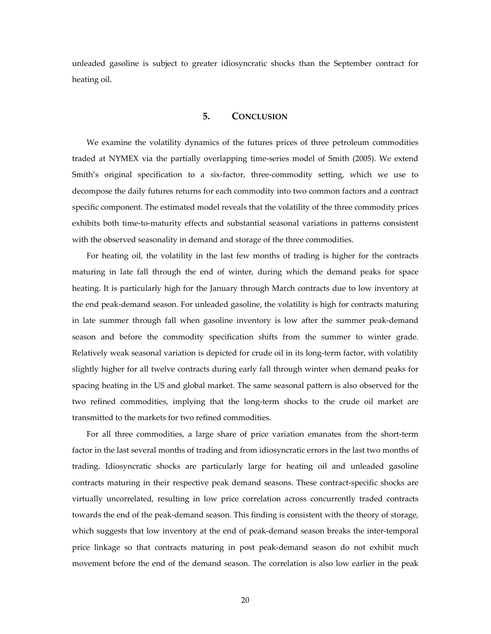unleaded gasoline is subject to greater idiosyncratic shocks than the September contract for heating oil.

#### **5. CONCLUSION**

We examine the volatility dynamics of the futures prices of three petroleum commodities traded at NYMEX via the partially overlapping time‐series model of Smith (2005). We extend Smith's original specification to a six-factor, three-commodity setting, which we use to decompose the daily futures returns for each commodity into two common factors and a contract specific component. The estimated model reveals that the volatility of the three commodity prices exhibits both time-to-maturity effects and substantial seasonal variations in patterns consistent with the observed seasonality in demand and storage of the three commodities.

For heating oil, the volatility in the last few months of trading is higher for the contracts maturing in late fall through the end of winter, during which the demand peaks for space heating. It is particularly high for the January through March contracts due to low inventory at the end peak‐demand season. For unleaded gasoline, the volatility is high for contracts maturing in late summer through fall when gasoline inventory is low after the summer peak‐demand season and before the commodity specification shifts from the summer to winter grade. Relatively weak seasonal variation is depicted for crude oil in its long-term factor, with volatility slightly higher for all twelve contracts during early fall through winter when demand peaks for spacing heating in the US and global market. The same seasonal pattern is also observed for the two refined commodities, implying that the long‐term shocks to the crude oil market are transmitted to the markets for two refined commodities.

For all three commodities, a large share of price variation emanates from the short-term factor in the last several months of trading and from idiosyncratic errors in the last two months of trading. Idiosyncratic shocks are particularly large for heating oil and unleaded gasoline contracts maturing in their respective peak demand seasons. These contract-specific shocks are virtually uncorrelated, resulting in low price correlation across concurrently traded contracts towards the end of the peak‐demand season. This finding is consistent with the theory of storage, which suggests that low inventory at the end of peak-demand season breaks the inter-temporal price linkage so that contracts maturing in post peak‐demand season do not exhibit much movement before the end of the demand season. The correlation is also low earlier in the peak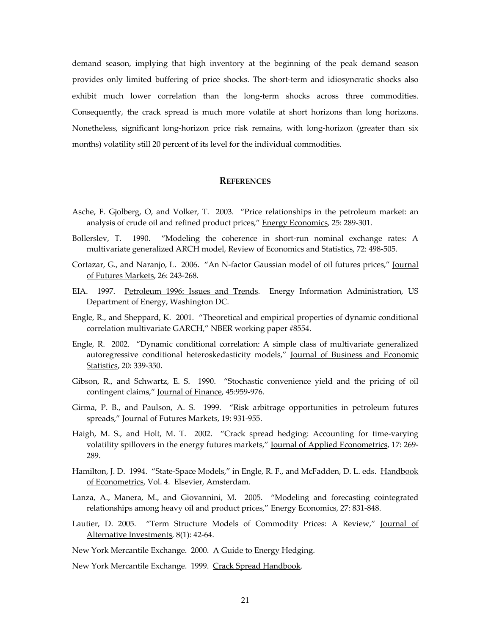demand season, implying that high inventory at the beginning of the peak demand season provides only limited buffering of price shocks. The short-term and idiosyncratic shocks also exhibit much lower correlation than the long-term shocks across three commodities. Consequently, the crack spread is much more volatile at short horizons than long horizons. Nonetheless, significant long‐horizon price risk remains, with long‐horizon (greater than six months) volatility still 20 percent of its level for the individual commodities.

### **REFERENCES**

- Asche, F. Gjolberg, O, and Volker, T. 2003. "Price relationships in the petroleum market: an analysis of crude oil and refined product prices," Energy Economics, 25: 289-301.
- Bollerslev, T. 1990. "Modeling the coherence in short‐run nominal exchange rates: A multivariate generalized ARCH model, Review of Economics and Statistics, 72: 498-505.
- Cortazar, G., and Naranjo, L. 2006. "An N-factor Gaussian model of oil futures prices," Journal of Futures Markets, 26: 243‐268.
- EIA. 1997. Petroleum 1996: Issues and Trends. Energy Information Administration, US Department of Energy, Washington DC.
- Engle, R., and Sheppard, K. 2001. "Theoretical and empirical properties of dynamic conditional correlation multivariate GARCH," NBER working paper #8554.
- Engle, R. 2002. "Dynamic conditional correlation: A simple class of multivariate generalized autoregressive conditional heteroskedasticity models," Journal of Business and Economic Statistics, 20: 339‐350.
- Gibson, R., and Schwartz, E. S. 1990. "Stochastic convenience yield and the pricing of oil contingent claims," Journal of Finance, 45:959‐976.
- Girma, P. B., and Paulson, A. S. 1999. "Risk arbitrage opportunities in petroleum futures spreads," Journal of Futures Markets, 19: 931‐955.
- Haigh, M. S., and Holt, M. T. 2002. "Crack spread hedging: Accounting for time‐varying volatility spillovers in the energy futures markets," Journal of Applied Econometrics, 17: 269-289.
- Hamilton, J. D. 1994. "State-Space Models," in Engle, R. F., and McFadden, D. L. eds. Handbook of Econometrics, Vol. 4. Elsevier, Amsterdam.
- Lanza, A., Manera, M., and Giovannini, M. 2005. "Modeling and forecasting cointegrated relationships among heavy oil and product prices," Energy Economics, 27: 831-848.
- Lautier, D. 2005. "Term Structure Models of Commodity Prices: A Review," Journal of Alternative Investments, 8(1): 42‐64.

New York Mercantile Exchange. 2000. A Guide to Energy Hedging.

New York Mercantile Exchange. 1999. Crack Spread Handbook.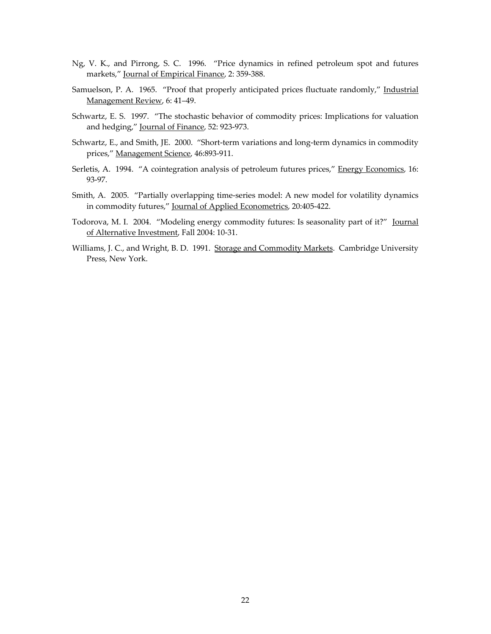- Ng, V. K., and Pirrong, S. C. 1996. "Price dynamics in refined petroleum spot and futures markets," Journal of Empirical Finance, 2: 359‐388.
- Samuelson, P. A. 1965. "Proof that properly anticipated prices fluctuate randomly," Industrial Management Review, 6: 41–49.
- Schwartz, E. S. 1997. "The stochastic behavior of commodity prices: Implications for valuation and hedging," Journal of Finance, 52: 923‐973.
- Schwartz, E., and Smith, JE. 2000. "Short-term variations and long-term dynamics in commodity prices," Management Science, 46:893‐911.
- Serletis, A. 1994. "A cointegration analysis of petroleum futures prices," Energy Economics, 16: 93‐97.
- Smith, A. 2005. "Partially overlapping time‐series model: A new model for volatility dynamics in commodity futures," Journal of Applied Econometrics, 20:405‐422.
- Todorova, M. I. 2004. "Modeling energy commodity futures: Is seasonality part of it?" Journal of Alternative Investment, Fall 2004: 10‐31.
- Williams, J. C., and Wright, B. D. 1991. Storage and Commodity Markets. Cambridge University Press, New York.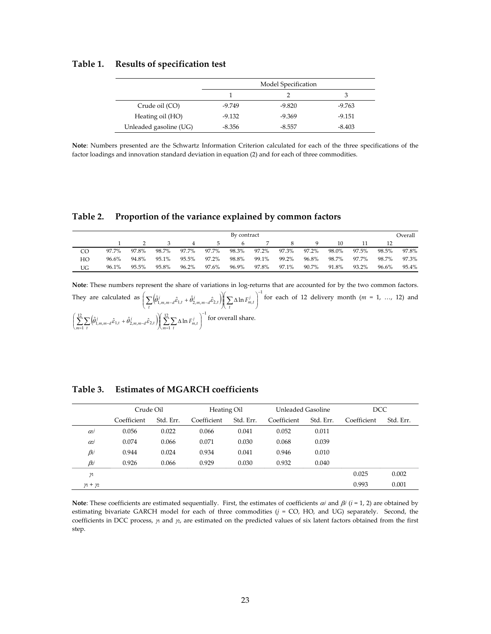### **Table 1. Results of specification test**

|                        |          | Model Specification |          |
|------------------------|----------|---------------------|----------|
|                        |          |                     |          |
| Crude oil (CO)         | $-9.749$ | $-9.820$            | $-9.763$ |
| Heating oil (HO)       | $-9.132$ | $-9.369$            | $-9.151$ |
| Unleaded gasoline (UG) | $-8.356$ | $-8.557$            | $-8.403$ |

**Note**: Numbers presented are the Schwartz Information Criterion calculated for each of the three specifications of the factor loadings and innovation standard deviation in equation (2) and for each of three commodities.

#### **Table 2. Proportion of the variance explained by common factors**

| By contract |       |       |       |       |                |       |       |       |       | Overall |       |       |       |
|-------------|-------|-------|-------|-------|----------------|-------|-------|-------|-------|---------|-------|-------|-------|
|             |       |       |       |       | $\overline{ }$ |       |       | 8     |       | 10      |       |       |       |
| CO          | 97.7% | 97.8% | 98.7% | 97.7% | 97.7%          | 98.3% | 97.2% | 97.3% | 97.2% | 98.0%   | 97.5% | 98.5% | 97.8% |
| HO          | 96.6% | 94.8% | 95.1% | 95.5% | 97.2%          | 98.8% | 99.1% | 99.2% | 96.8% | 98.7%   | 97.7% | 98.7% | 97.3% |
| UG          | 96.1% | 95.5% | 95.8% | 96.2% | 97.6%          | 96.9% | 97.8% | 97.1% | 90.7% | 91.8%   | 93.2% | 96.6% | 95.4% |

Note: These numbers represent the share of variations in log-returns that are accounted for by the two common factors. They are calculated as  $\left( \sum \left( \hat{\theta}_{1,m,m-d}^j \hat{\epsilon}_{1,t} + \hat{\theta}_{2,m,m-d}^j \hat{\epsilon}_{2,t} \right) \right) \left( \sum \Delta \ln F_{m,t}^j \right)^{-1}$  $_{-d}\hat{\varepsilon}_{1,t}+\hat{\theta}_{2,m,m-d}^{j}\hat{\varepsilon}_{2,t}^{}\Big)\Big\|\sum\Delta\ln F_{m,t}^{j}\Big\|$ ⎠ ⎞  $\overline{a}$  $\left( \sum_t \Delta \right)$ ⎠ ⎞  $\overline{\phantom{a}}$ ⎝  $\left( \sum_{t} \left( \hat{\theta}_{1,m,m-d}^{j} \hat{\varepsilon}_{1,t} + \hat{\theta}_{2,m,m-d}^{j} \hat{\varepsilon}_{2,t} \right) \right) \left( \sum_{t}$  $\sum_{t} \left( \hat{\theta}_{1,m,m-d}^{j} \hat{\epsilon}_{1,t} + \hat{\theta}_{2,m,m-d}^{j} \hat{\epsilon}_{2,t} \right) \right| \left( \sum_{t} \Delta \ln F_{m,t}^{j} \right)$  for each of 12 delivery month (*m* = 1, …, 12) and  $\left(\hat{\theta}_{1}^{j}_{1}, \dots, \hat{\theta}_{1}^{j}_{1} + \hat{\theta}_{2}^{j}_{2} \dots, \hat{\theta}_{2}^{j}_{1}\right)\left(\sum_{i=1}^{12} \sum_{j=1}^{i} \Delta \ln F_{i}^{j}_{1} + \sum_{i=1}^{j} \Delta \ln F_{i}^{j}_{1} + \sum_{i=1}^{i} \Delta \ln F_{i}^{j}_{1} + \sum_{i=1}^{j} \Delta \ln F_{i}^{j}_{1} + \sum_{i=1}^{i} \Delta \ln F_{i}^{j}_{1} + \sum_{i=1}^{i} \Delta \ln F_{i}^{j}_{1} + \sum_{i=$  $\sum_{1 \atop 1 \atop 1}$   $\sum_{j \atop 1}$   $\sum_{j \atop 1}$   $\sum_{j \atop 1}$   $\sum_{j \atop 1}$   $\sum_{j \atop 1}$ 12  $\sum_{i=1}^{n} \left( \hat{\theta}_{1,m,m-d}^{j} \hat{\varepsilon}_{1,t} + \hat{\theta}_{2,m,m-d}^{j} \hat{\varepsilon}_{2,t} \right) \left( \sum_{m=1}^{12} \sum_{t} \Delta \ln F_{m,t}^{j} \right)^{-1}$  $\sum_{j=1}^N\sum_{t}\!\!\left(\!\hat\theta_{1,m,m-d}^{\,j}\hat\varepsilon_{1,t}+\hat\theta_{2,m,m-d}^{\,j}\hat\varepsilon_{2,t}\right)\!\!\left(\sum_{m=1}^N\!\sum_{t}\!\Delta\ln F^j_{m,t}\right)$ ⎠ ⎞ ⎜ ⎜  $\left( \sum_{m=1}^{12} \sum_{t} \Delta \right)$ ⎠ ⎞ ⎜ ⎜ ⎝  $\left( \sum_{m=1}^{12} \sum_{t} \left( \hat{\theta}_{1,m,m-d}^{j} \hat{\varepsilon}_{1,t} + \hat{\theta}_{2,m,m-d}^{j} \hat{\varepsilon}_{2,t} \right) \right) \sum_{m=1}^{12} \sum_{t}$  $\sum_{m=1}^{12} \sum_{t} \left( \hat{\theta}_{1,m,m-d}^{j} \hat{\epsilon}_{1,t} + \hat{\theta}_{2,m,m-d}^{j} \hat{\epsilon}_{2,t} \right) \right] \sum_{m=1}^{12} \sum_{t} \Delta \ln F_{m,t}^{j}$  for overall share.

|                       | Crude Oil   |           | Heating Oil |           | Unleaded Gasoline |           | DCC         |           |
|-----------------------|-------------|-----------|-------------|-----------|-------------------|-----------|-------------|-----------|
|                       | Coefficient | Std. Err. | Coefficient | Std. Err. | Coefficient       | Std. Err. | Coefficient | Std. Err. |
| $\alpha$ <sup>1</sup> | 0.056       | 0.022     | 0.066       | 0.041     | 0.052             | 0.011     |             |           |
| œί                    | 0.074       | 0.066     | 0.071       | 0.030     | 0.068             | 0.039     |             |           |
| $\beta$               | 0.944       | 0.024     | 0.934       | 0.041     | 0.946             | 0.010     |             |           |
| Bəi                   | 0.926       | 0.066     | 0.929       | 0.030     | 0.932             | 0.040     |             |           |
| n                     |             |           |             |           |                   |           | 0.025       | 0.002     |
| $y_1 + y_2$           |             |           |             |           |                   |           | 0.993       | 0.001     |

**Table 3. Estimates of MGARCH coefficients**

**Note**: These coefficients are estimated sequentially. First, the estimates of coefficients α*i* and β*i* (*i* = 1, 2) are obtained by estimating bivariate GARCH model for each of three commodities ( $j = CO$ , HO, and UG) separately. Second, the coefficients in DCC process,  $\gamma$  and  $\gamma$ , are estimated on the predicted values of six latent factors obtained from the first step.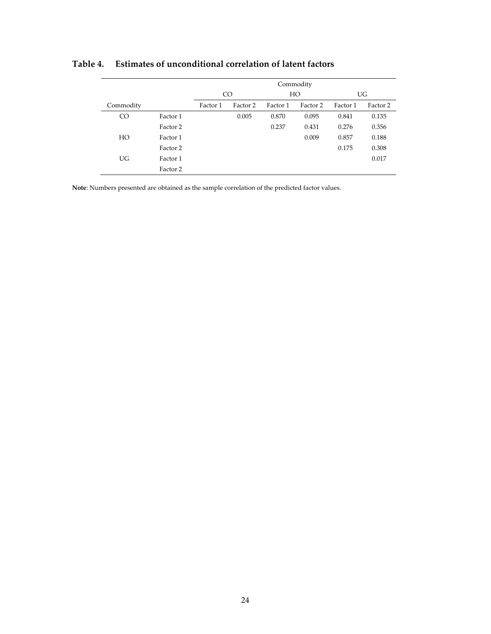|           |          | Commodity       |          |          |          |          |          |  |
|-----------|----------|-----------------|----------|----------|----------|----------|----------|--|
|           |          | CO <sub>1</sub> |          | HO       |          | UG       |          |  |
| Commodity |          | Factor 1        | Factor 2 | Factor 1 | Factor 2 | Factor 1 | Factor 2 |  |
| CO        | Factor 1 |                 | 0.005    | 0.870    | 0.095    | 0.841    | 0.135    |  |
|           | Factor 2 |                 |          | 0.237    | 0.431    | 0.276    | 0.356    |  |
| HO        | Factor 1 |                 |          |          | 0.009    | 0.857    | 0.188    |  |
|           | Factor 2 |                 |          |          |          | 0.175    | 0.308    |  |
| UG.       | Factor 1 |                 |          |          |          |          | 0.017    |  |
|           | Factor 2 |                 |          |          |          |          |          |  |

# **Table 4. Estimates of unconditional correlation of latent factors**

**Note**: Numbers presented are obtained as the sample correlation of the predicted factor values.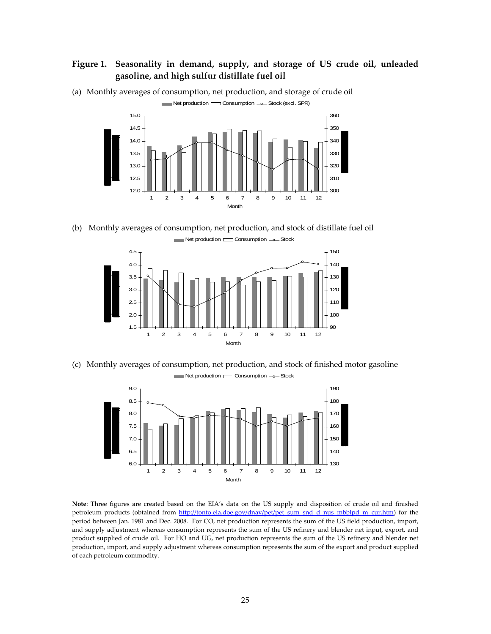# **Figure 1. Seasonality in demand, supply, and storage of US crude oil, unleaded gasoline, and high sulfur distillate fuel oil**



(a) Monthly averages of consumption, net production, and storage of crude oil Net production Consumption -o-Stock (excl. SPR)

(b) Monthly averages of consumption, net production, and stock of distillate fuel oil



(c) Monthly averages of consumption, net production, and stock of finished motor gasoline Net production Consumption - Stock



**Note**: Three figures are created based on the EIA's data on the US supply and disposition of crude oil and finished petroleum products (obtained from http://tonto.eia.doe.gov/dnav/pet/pet\_sum\_snd\_d\_nus\_mbblpd\_m\_cur.htm) for the period between Jan. 1981 and Dec. 2008. For CO, net production represents the sum of the US field production, import, and supply adjustment whereas consumption represents the sum of the US refinery and blender net input, export, and product supplied of crude oil. For HO and UG, net production represents the sum of the US refinery and blender net production, import, and supply adjustment whereas consumption represents the sum of the export and product supplied of each petroleum commodity.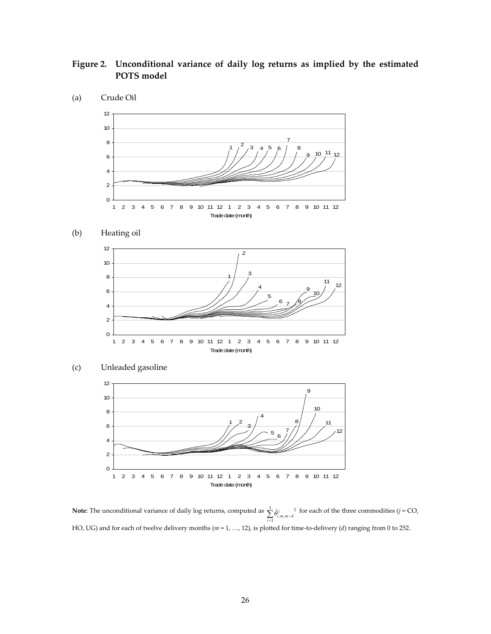# **Figure 2. Unconditional variance of daily log returns as implied by the estimated POTS model**



#### $(b)$ Heating oil





**Note**: The unconditional variance of daily log returns, computed as  $\sum_{i=1}^{n} \hat{\theta}_{i,m,m-1}^{i}$   $\sum_{i=1}^{3} \hat{\theta}_{i,m,m-d}^{j}$ <sup>2</sup>  $\hat{\theta}$ *i*  $_{i,m,m-d}$ <sup>2</sup> for each of the three commodities (*j* = CO, HO, UG) and for each of twelve delivery months ( $m = 1, ..., 12$ ), is plotted for time-to-delivery (*d*) ranging from 0 to 252.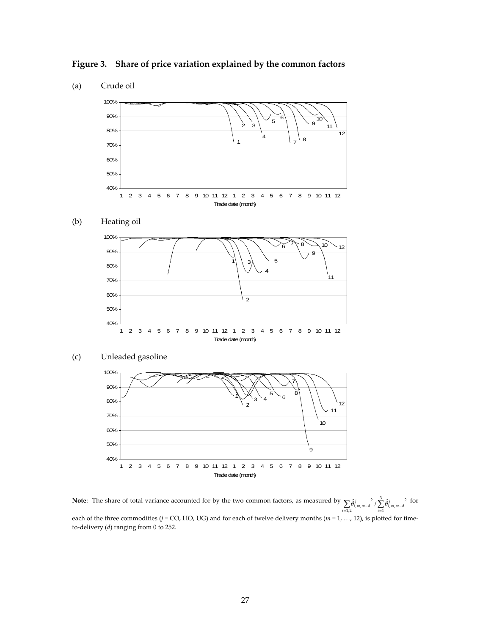**Figure 3. Share of price variation explained by the common factors**



**Note:** The share of total variance accounted for by the two common factors, as measured by  $\sum_{i=1,2} \hat{\theta}_{i,m,m-d}^{i} / \sum_{i=1}^{3} \hat{\theta}_{i,m,m-d}^{i}$ 1  $\sum_{i=1}^{n} \hat{\theta}_{i,m,m-d}^{j} \left( \sum_{i=1}^{3} \hat{\theta}_{i,m,m-d}^{j} \right)^{2}$  $\hat{\theta}_{i,m,m-d}^j / \sum_{i=1}^{\infty} \hat{\theta}_{i}^j$  $\sum_{i=1,2} \hat{\theta}_{i,m,m-d}^{j}$  /  $\sum_{i=1} \hat{\theta}_{i,m,m-d}^{j}$  $\hat{\theta}^j_{i,m,m-d}^2 / \sum_{j}^{\infty} \hat{\theta}^j_{i,m,m-d}^2$  for each of the three commodities ( $j$  = CO, HO, UG) and for each of twelve delivery months ( $m$  = 1, ..., 12), is plotted for timeto‐delivery (*d*) ranging from 0 to 252.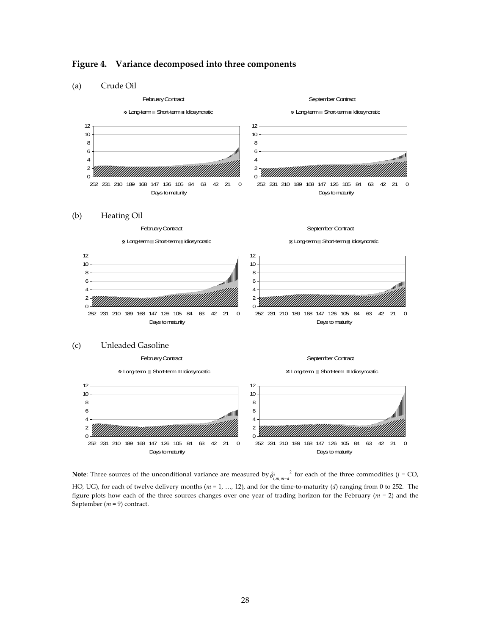

## **Figure 4. Variance decomposed into three components**

**Note**: Three sources of the unconditional variance are measured by  $\hat{\theta}$ <sup>*i*</sup>,  $m$ ,  $m-d$ </sub> for each of the three commodities (*j* = CO, HO, UG), for each of twelve delivery months ( $m = 1, ..., 12$ ), and for the time-to-maturity (*d*) ranging from 0 to 252. The figure plots how each of the three sources changes over one year of trading horizon for the February (*m* = 2) and the September (*m* = 9) contract.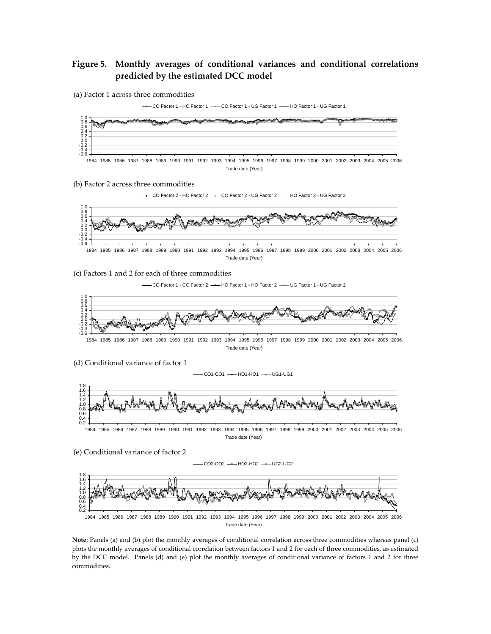# **Figure 5. Monthly averages of conditional variances and conditional correlations predicted by the estimated DCC model**

![](_page_29_Figure_1.jpeg)

CO Factor 1 - HO Factor 1  $\rightarrow$  CO Factor 1 - UG Factor 1  $\rightarrow$  HO Factor 1 - UG Factor 1

![](_page_29_Figure_3.jpeg)

(b) Factor 2 across three commodities

![](_page_29_Figure_5.jpeg)

(c) Factors 1 and 2 for each of three commodities

 $-CO$  Factor 1 - CO Factor 2  $\rightarrow$  HO Factor 1 - HO Factor 2  $\rightarrow$  UG Factor 1 - UG Factor 2

![](_page_29_Figure_8.jpeg)

Trade date (Year)

(d) Conditional variance of factor 1

 $-CO1-CO1$   $\longrightarrow$  HO1-HO1  $\longrightarrow$  UG1-UG1

![](_page_29_Figure_12.jpeg)

1984 1985 1986 1987 1988 1989 1990 1991 1992 1993 1994 1995 1996 1997 1998 1999 2000 2001 2002 2003 2004 2005 2006 Trade date (Year)

 $-CO2-CO2$   $\rightarrow$  HO2-HO2  $\rightarrow$  UG2-UG2

(e) Conditional variance of factor 2

0.2 0.4 1.2<br>1.0<br>0.8<br>0.6 1.4 1.6 1.8 1984 1985 1986 1987 1988 1989 1990 1991 1992 1993 1994 1995 1996 1997 1998 1999 2000 2001 2002 2003 2004 2005 2006 Trade date (Year)

**Note**: Panels (a) and (b) plot the monthly averages of conditional correlation across three commodities whereas panel (c) plots the monthly averages of conditional correlation between factors 1 and 2 for each of three commodities, as estimated by the DCC model. Panels (d) and (e) plot the monthly averages of conditional variance of factors 1 and 2 for three commodities.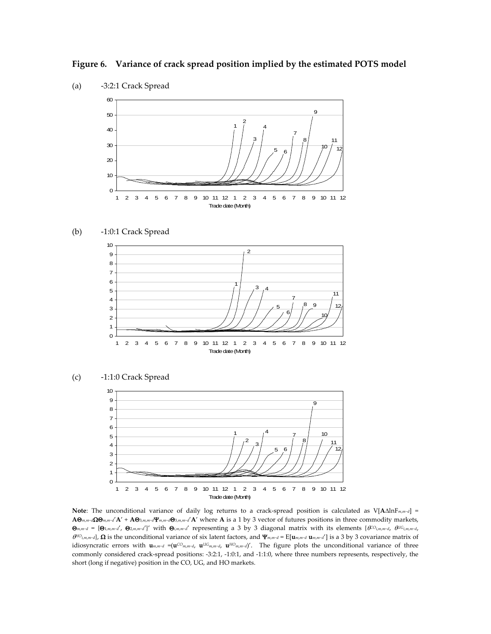**Figure 6. Variance of crack spread position implied by the estimated POTS model**

![](_page_30_Figure_1.jpeg)

(b) ‐1:0:1 Crack Spread

![](_page_30_Figure_4.jpeg)

![](_page_30_Figure_5.jpeg)

![](_page_30_Figure_6.jpeg)

 **Note**: The unconditional variance of daily log returns to a crack‐spread position is calculated as V[**A**ΔlnF*m*,*m*−*d*] =  $A\Theta_{m,m-d}\Omega\Theta_{m,m-d'}A' + A\Theta_{3,m,m-d}\Psi_{m,m-d}\Theta_{3,m,m-d'}A'$  where A is a 1 by 3 vector of futures positions in three commodity markets,  $\Theta_{m,m-d} = \{\Theta_{1,m,m-d'}, \ \Theta_{2,m,m-d'}\}$ ' with  $\Theta_{i,m,m-d'}$  representing a 3 by 3 diagonal matrix with its elements  $\{C^{O_{i,m,m-d}}, \ \Theta^{IG_{i,m,m-d}}\}$  $(\theta^{10})_{i,m,m-d}$ ,  $\Omega$  is the unconditional variance of six latent factors, and  $\Psi_{m,m-d} = E[\mathbf{u}_{m,m-d} \mathbf{u}_{m,m-d}]$  is a 3 by 3 covariance matrix of idiosyncratic errors with  $\mathbf{u}_{m,m-d} = (\mathbf{u}^{CO_{m,m-d}} , \mathbf{u}^{UG_{m,m-d}} , \mathbf{u}^{HO_{m,m-d}} )'$ . The figure plots the unconditional variance of three commonly considered crack‐spread positions: ‐3:2:1, ‐1:0:1, and ‐1:1:0, where three numbers represents, respectively, the short (long if negative) position in the CO, UG, and HO markets.